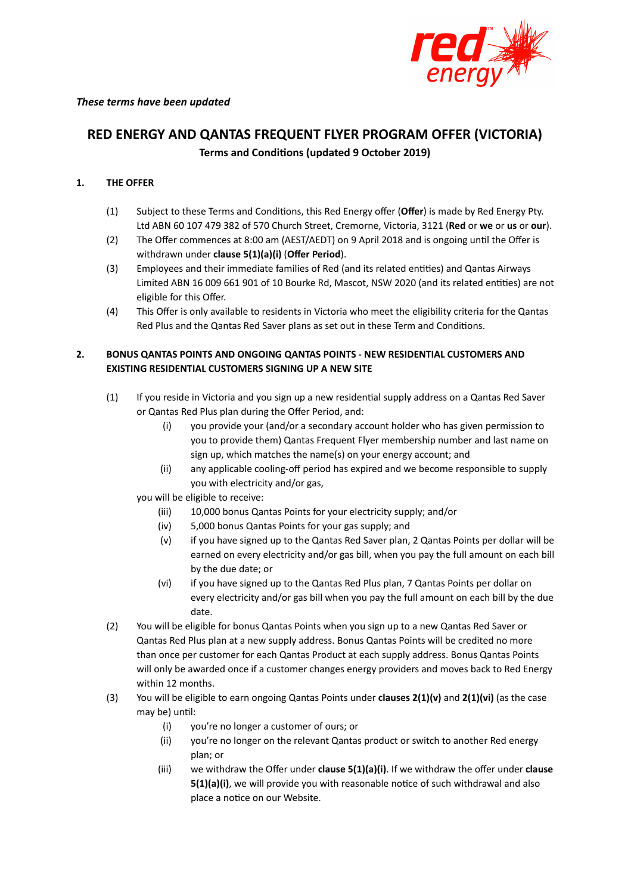

# **RED ENERGY AND QANTAS FREQUENT FLYER PROGRAM OFFER (VICTORIA) Terms** and Conditions (updated 9 October 2019)

# **1. THE OFFER**

- (1) Subject to these Terms and Conditions, this Red Energy offer (Offer) is made by Red Energy Pty. Ltd ABN 60 107 479 382 of 570 Church Street, Cremorne, Victoria, 3121 (**Red** or **we** or **us** or **our**).
- (2) The Offer commences at 8:00 am (AEST/AEDT) on 9 April 2018 and is ongoing until the Offer is withdrawn under **clause 5(1)(a)(i)** (**Offer Period**).
- (3) Employees and their immediate families of Red (and its related entities) and Qantas Airways Limited ABN 16 009 661 901 of 10 Bourke Rd, Mascot, NSW 2020 (and its related entities) are not eligible for this Offer.
- (4) This Offer is only available to residents in Victoria who meet the eligibility criteria for the Qantas Red Plus and the Qantas Red Saver plans as set out in these Term and Conditions.

# **2. BONUS QANTAS POINTS AND ONGOING QANTAS POINTS - NEW RESIDENTIAL CUSTOMERS AND EXISTING RESIDENTIAL CUSTOMERS SIGNING UP A NEW SITE**

- (1) If you reside in Victoria and you sign up a new residential supply address on a Qantas Red Saver or Qantas Red Plus plan during the Offer Period, and:
	- (i) you provide your (and/or a secondary account holder who has given permission to you to provide them) Qantas Frequent Flyer membership number and last name on sign up, which matches the name(s) on your energy account; and
	- (ii) any applicable cooling-off period has expired and we become responsible to supply you with electricity and/or gas,
	- you will be eligible to receive:
		- (iii) 10,000 bonus Qantas Points for your electricity supply; and/or
		- (iv) 5,000 bonus Qantas Points for your gas supply; and
		- (v) if you have signed up to the Qantas Red Saver plan, 2 Qantas Points per dollar will be earned on every electricity and/or gas bill, when you pay the full amount on each bill by the due date; or
		- (vi) if you have signed up to the Qantas Red Plus plan, 7 Qantas Points per dollar on every electricity and/or gas bill when you pay the full amount on each bill by the due date.
- (2) You will be eligible for bonus Qantas Points when you sign up to a new Qantas Red Saver or Qantas Red Plus plan at a new supply address. Bonus Qantas Points will be credited no more than once per customer for each Qantas Product at each supply address. Bonus Qantas Points will only be awarded once if a customer changes energy providers and moves back to Red Energy within 12 months.
- (3) You will be eligible to earn ongoing Qantas Points under **clauses 2(1)(v)** and **2(1)(vi)** (as the case may be) until:
	- (i) you're no longer a customer of ours; or
	- (ii) you're no longer on the relevant Qantas product or switch to another Red energy plan; or
	- (iii) we withdraw the Offer under **clause 5(1)(a)(i)**. If we withdraw the offer under **clause 5(1)(a)(i)**, we will provide you with reasonable notice of such withdrawal and also place a notice on our Website.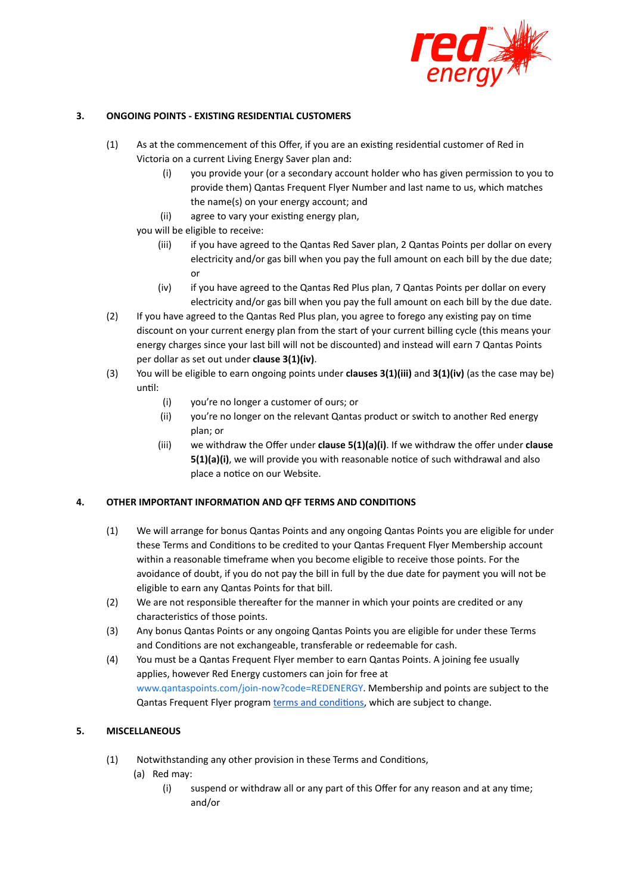

## **3. ONGOING POINTS - EXISTING RESIDENTIAL CUSTOMERS**

- (1) As at the commencement of this Offer, if you are an existing residential customer of Red in Victoria on a current Living Energy Saver plan and:
	- (i) you provide your (or a secondary account holder who has given permission to you to provide them) Qantas Frequent Flyer Number and last name to us, which matches the name(s) on your energy account; and
	- (ii) agree to vary your existing energy plan,

you will be eligible to receive:

- (iii) if you have agreed to the Qantas Red Saver plan, 2 Qantas Points per dollar on every electricity and/or gas bill when you pay the full amount on each bill by the due date; or
- (iv) if you have agreed to the Qantas Red Plus plan, 7 Qantas Points per dollar on every electricity and/or gas bill when you pay the full amount on each bill by the due date.
- $(2)$  If you have agreed to the Qantas Red Plus plan, you agree to forego any existing pay on time discount on your current energy plan from the start of your current billing cycle (this means your energy charges since your last bill will not be discounted) and instead will earn 7 Qantas Points per dollar as set out under **clause 3(1)(iv)**.
- (3) You will be eligible to earn ongoing points under **clauses 3(1)(iii)** and **3(1)(iv)** (as the case may be) until:
	- (i) you're no longer a customer of ours; or
	- (ii) you're no longer on the relevant Qantas product or switch to another Red energy plan; or
	- (iii) we withdraw the Offer under **clause 5(1)(a)(i)**. If we withdraw the offer under **clause 5(1)(a)(i)**, we will provide you with reasonable notice of such withdrawal and also place a notice on our Website.

### **4. OTHER IMPORTANT INFORMATION AND QFF TERMS AND CONDITIONS**

- (1) We will arrange for bonus Qantas Points and any ongoing Qantas Points you are eligible for under these Terms and Conditions to be credited to your Qantas Frequent Flyer Membership account within a reasonable timeframe when you become eligible to receive those points. For the avoidance of doubt, if you do not pay the bill in full by the due date for payment you will not be eligible to earn any Qantas Points for that bill.
- (2) We are not responsible thereafter for the manner in which your points are credited or any characteristics of those points.
- (3) Any bonus Qantas Points or any ongoing Qantas Points you are eligible for under these Terms and Conditions are not exchangeable, transferable or redeemable for cash.
- (4) You must be a Qantas Frequent Flyer member to earn Qantas Points. A joining fee usually applies, however Red Energy customers can join for free at [www.qantaspoints.com/join-now?code=REDENERGY](https://www.qantaspoints.com/join-now?code=REDENERGY). Membership and points are subject to the Qantas Frequent Flyer program terms and conditions, which are subject to change.

### **5. MISCELLANEOUS**

- (1) Notwithstanding any other provision in these Terms and Conditions,
	- (a) Red may:
		- $(i)$  suspend or withdraw all or any part of this Offer for any reason and at any time; and/or